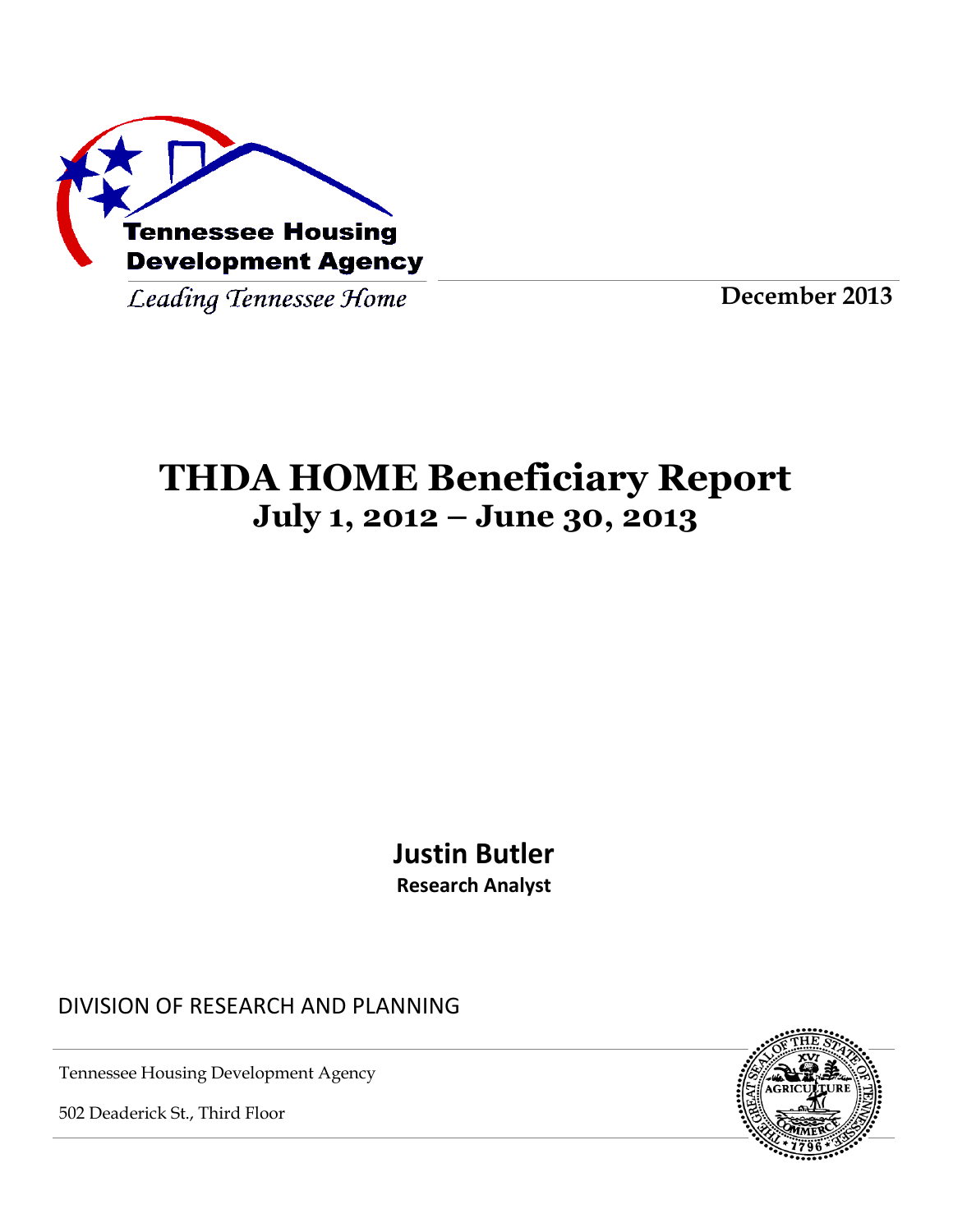

Leading Tennessee Home

**December 2013**

# **THDA HOME Beneficiary Report July 1, 2012 – June 30, 2013**

**Justin Butler Research Analyst**

DIVISION OF RESEARCH AND PLANNING

Tennessee Housing Development Agency

502 Deaderick St., Third Floor

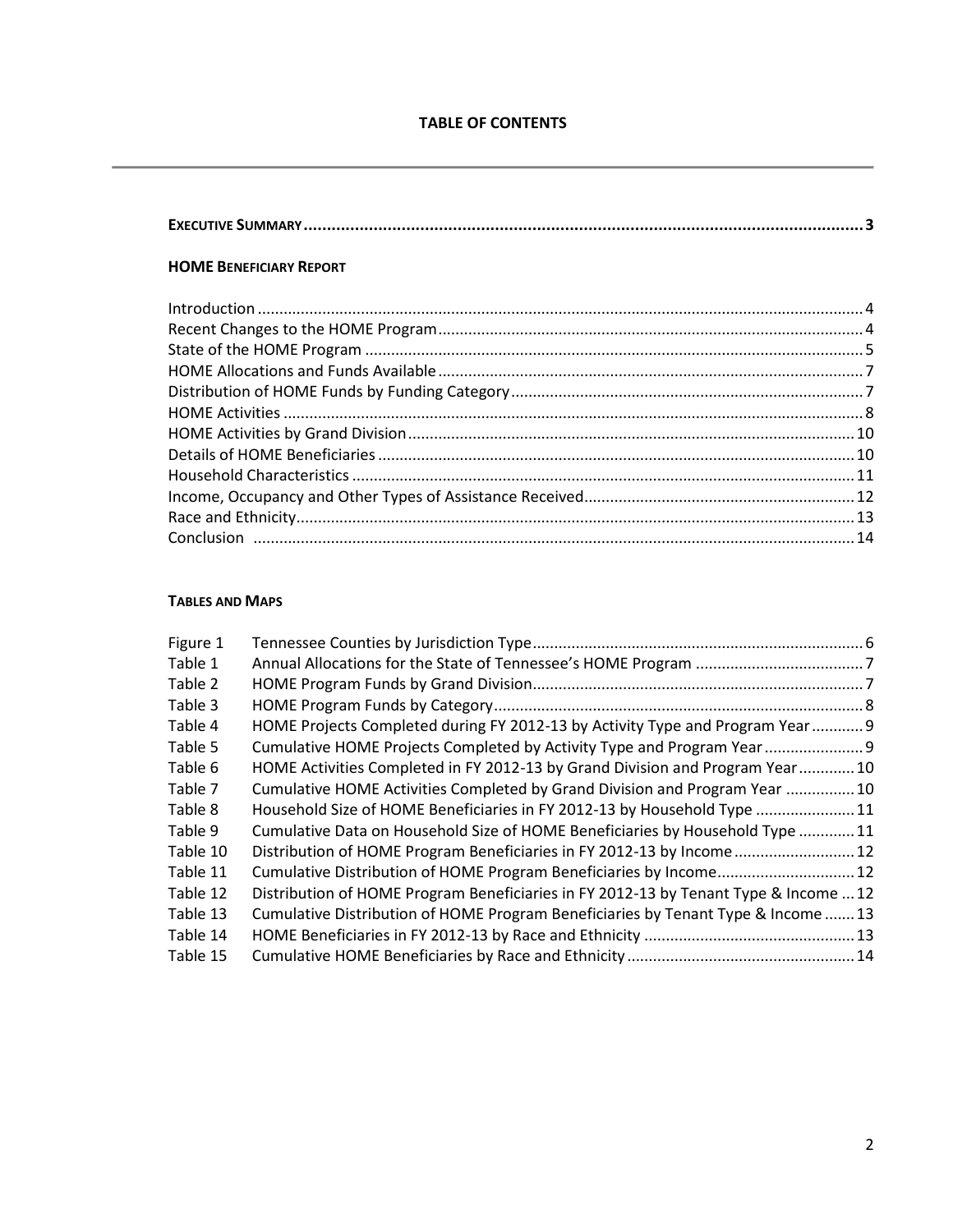#### **HOME BENEFICIARY REPORT**

#### **TABLES AND MAPS**

| Figure 1 |                                                                                      |  |
|----------|--------------------------------------------------------------------------------------|--|
| Table 1  |                                                                                      |  |
| Table 2  |                                                                                      |  |
| Table 3  |                                                                                      |  |
| Table 4  | HOME Projects Completed during FY 2012-13 by Activity Type and Program Year 9        |  |
| Table 5  | Cumulative HOME Projects Completed by Activity Type and Program Year                 |  |
| Table 6  | HOME Activities Completed in FY 2012-13 by Grand Division and Program Year 10        |  |
| Table 7  | Cumulative HOME Activities Completed by Grand Division and Program Year  10          |  |
| Table 8  | Household Size of HOME Beneficiaries in FY 2012-13 by Household Type 11              |  |
| Table 9  | Cumulative Data on Household Size of HOME Beneficiaries by Household Type 11         |  |
| Table 10 | Distribution of HOME Program Beneficiaries in FY 2012-13 by Income 12                |  |
| Table 11 | Cumulative Distribution of HOME Program Beneficiaries by Income 12                   |  |
| Table 12 | Distribution of HOME Program Beneficiaries in FY 2012-13 by Tenant Type & Income  12 |  |
| Table 13 | Cumulative Distribution of HOME Program Beneficiaries by Tenant Type & Income  13    |  |
| Table 14 |                                                                                      |  |
| Table 15 |                                                                                      |  |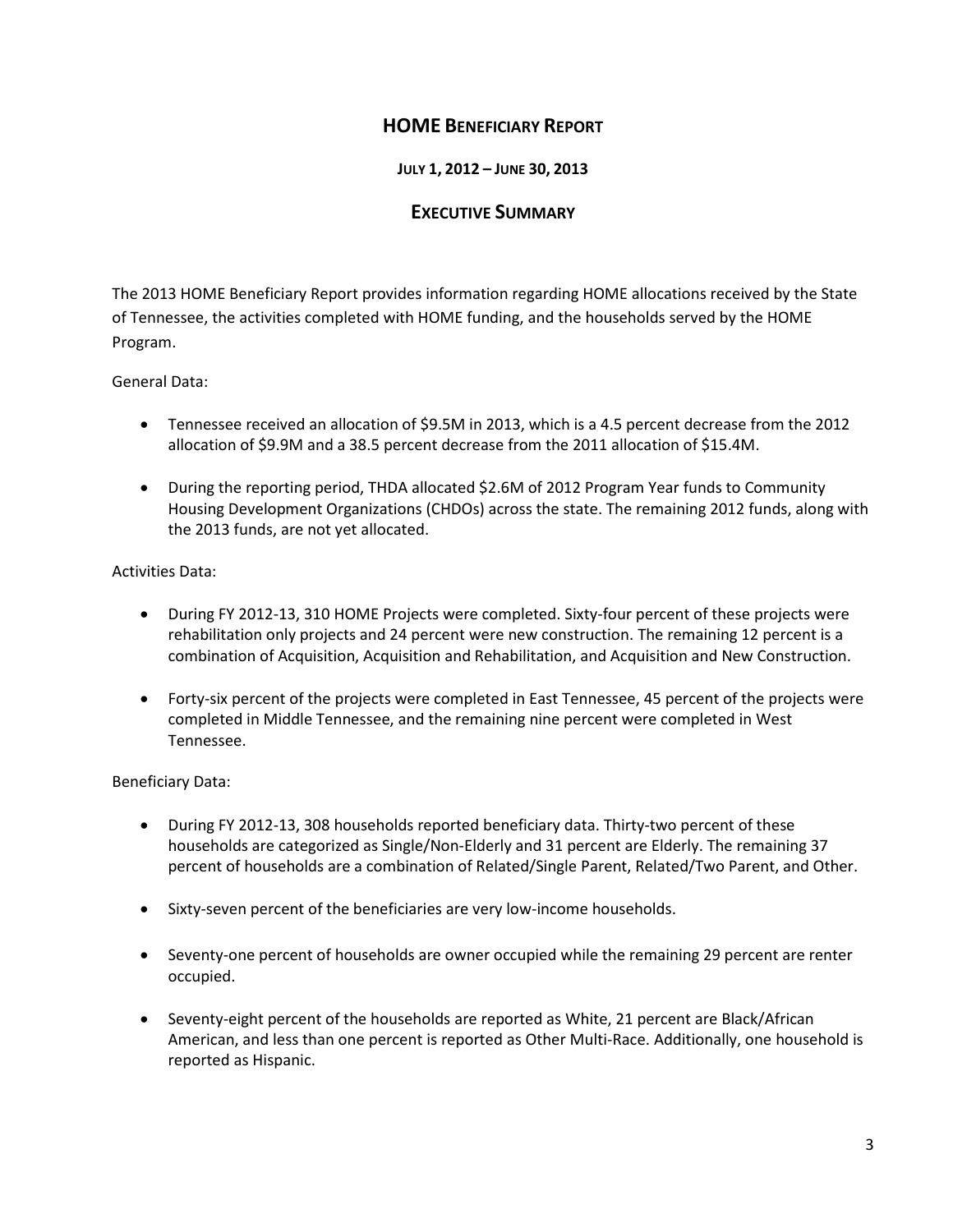# **HOME BENEFICIARY REPORT**

**JULY 1, 2012 – JUNE 30, 2013**

### **EXECUTIVE SUMMARY**

The 2013 HOME Beneficiary Report provides information regarding HOME allocations received by the State of Tennessee, the activities completed with HOME funding, and the households served by the HOME Program.

#### General Data:

- Tennessee received an allocation of \$9.5M in 2013, which is a 4.5 percent decrease from the 2012 allocation of \$9.9M and a 38.5 percent decrease from the 2011 allocation of \$15.4M.
- During the reporting period, THDA allocated \$2.6M of 2012 Program Year funds to Community Housing Development Organizations (CHDOs) across the state. The remaining 2012 funds, along with the 2013 funds, are not yet allocated.

#### Activities Data:

- During FY 2012-13, 310 HOME Projects were completed. Sixty-four percent of these projects were rehabilitation only projects and 24 percent were new construction. The remaining 12 percent is a combination of Acquisition, Acquisition and Rehabilitation, and Acquisition and New Construction.
- Forty-six percent of the projects were completed in East Tennessee, 45 percent of the projects were completed in Middle Tennessee, and the remaining nine percent were completed in West Tennessee.

#### Beneficiary Data:

- During FY 2012-13, 308 households reported beneficiary data. Thirty-two percent of these households are categorized as Single/Non-Elderly and 31 percent are Elderly. The remaining 37 percent of households are a combination of Related/Single Parent, Related/Two Parent, and Other.
- Sixty-seven percent of the beneficiaries are very low-income households.
- Seventy-one percent of households are owner occupied while the remaining 29 percent are renter occupied.
- Seventy-eight percent of the households are reported as White, 21 percent are Black/African American, and less than one percent is reported as Other Multi-Race. Additionally, one household is reported as Hispanic.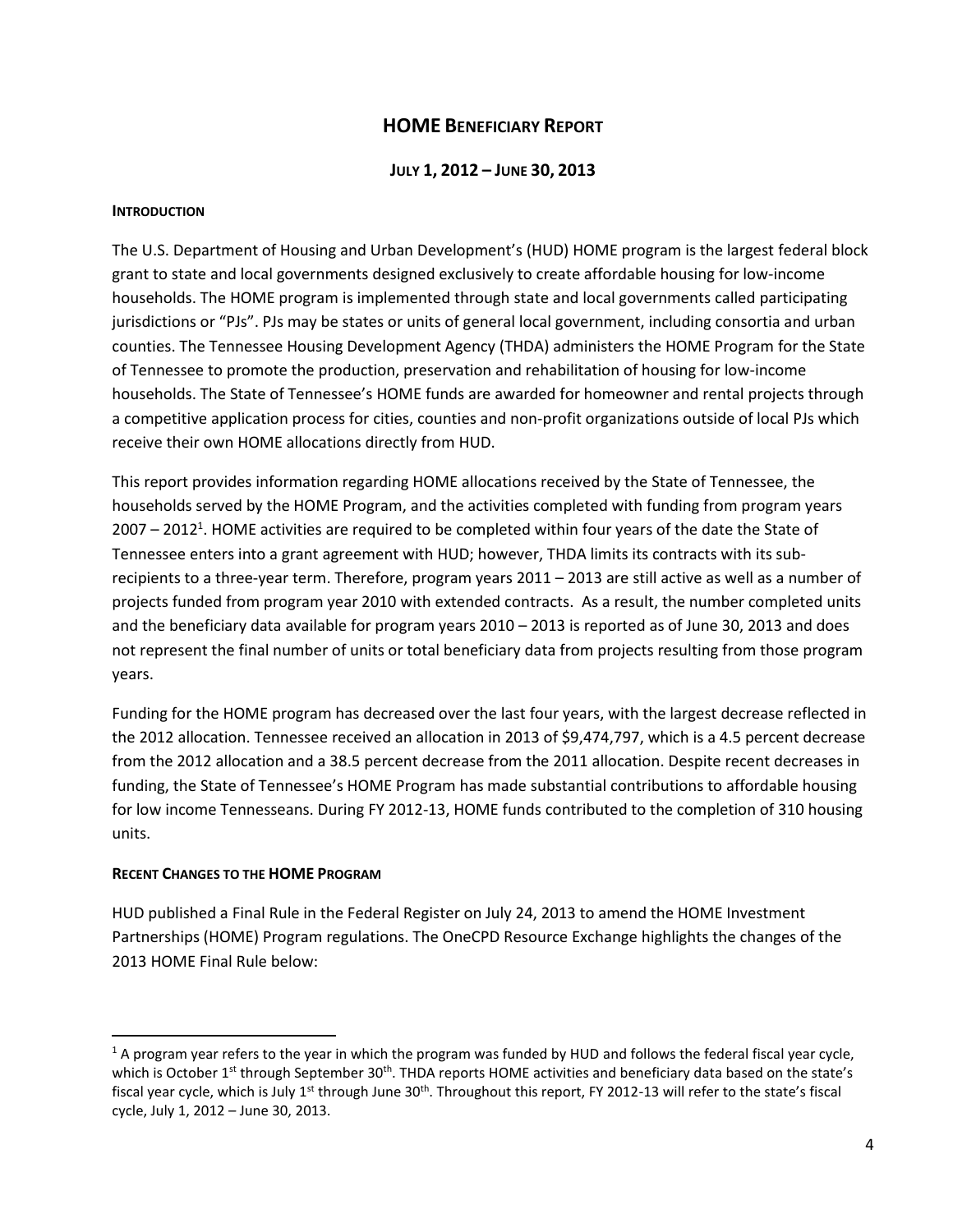# **HOME BENEFICIARY REPORT**

#### **JULY 1, 2012 – JUNE 30, 2013**

#### **INTRODUCTION**

The U.S. Department of Housing and Urban Development's (HUD) HOME program is the largest federal block grant to state and local governments designed exclusively to create affordable housing for low-income households. The HOME program is implemented through state and local governments called participating jurisdictions or "PJs". PJs may be states or units of general local government, including consortia and urban counties. The Tennessee Housing Development Agency (THDA) administers the HOME Program for the State of Tennessee to promote the production, preservation and rehabilitation of housing for low-income households. The State of Tennessee's HOME funds are awarded for homeowner and rental projects through a competitive application process for cities, counties and non-profit organizations outside of local PJs which receive their own HOME allocations directly from HUD.

This report provides information regarding HOME allocations received by the State of Tennessee, the households served by the HOME Program, and the activities completed with funding from program years 2007 – 2012<sup>1</sup>. HOME activities are required to be completed within four years of the date the State of Tennessee enters into a grant agreement with HUD; however, THDA limits its contracts with its subrecipients to a three-year term. Therefore, program years 2011 – 2013 are still active as well as a number of projects funded from program year 2010 with extended contracts. As a result, the number completed units and the beneficiary data available for program years 2010 – 2013 is reported as of June 30, 2013 and does not represent the final number of units or total beneficiary data from projects resulting from those program years.

Funding for the HOME program has decreased over the last four years, with the largest decrease reflected in the 2012 allocation. Tennessee received an allocation in 2013 of \$9,474,797, which is a 4.5 percent decrease from the 2012 allocation and a 38.5 percent decrease from the 2011 allocation. Despite recent decreases in funding, the State of Tennessee's HOME Program has made substantial contributions to affordable housing for low income Tennesseans. During FY 2012-13, HOME funds contributed to the completion of 310 housing units.

#### **RECENT CHANGES TO THE HOME PROGRAM**

 $\overline{a}$ 

HUD published a Final Rule in the Federal Register on July 24, 2013 to amend the HOME Investment Partnerships (HOME) Program regulations. The OneCPD Resource Exchange highlights the changes of the 2013 HOME Final Rule below:

 $1$  A program year refers to the year in which the program was funded by HUD and follows the federal fiscal year cycle, which is October 1<sup>st</sup> through September 30<sup>th</sup>. THDA reports HOME activities and beneficiary data based on the state's fiscal year cycle, which is July  $1^{st}$  through June 30<sup>th</sup>. Throughout this report, FY 2012-13 will refer to the state's fiscal cycle, July 1, 2012 – June 30, 2013.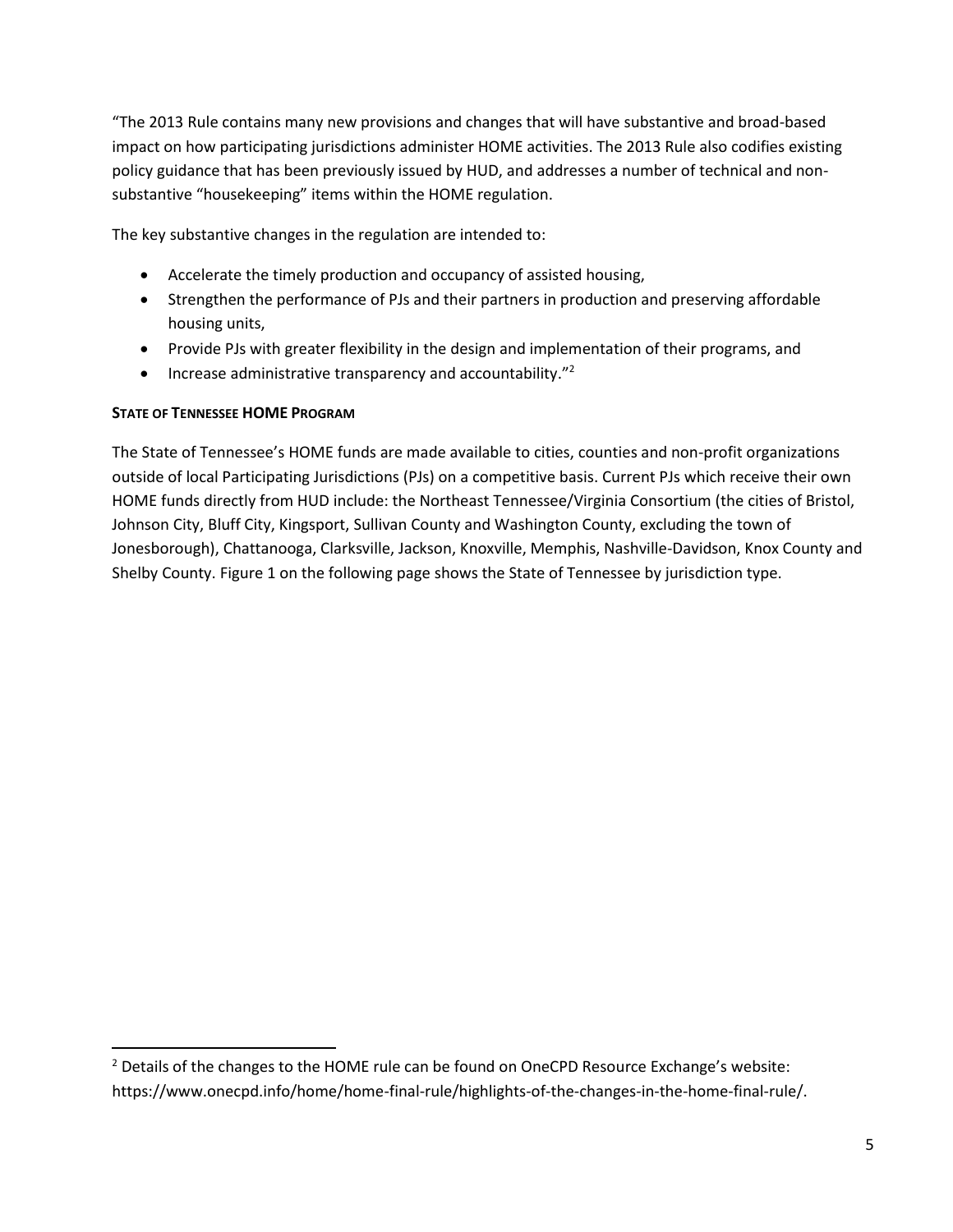"The 2013 Rule contains many new provisions and changes that will have substantive and broad-based impact on how participating jurisdictions administer HOME activities. The 2013 Rule also codifies existing policy guidance that has been previously issued by HUD, and addresses a number of technical and nonsubstantive "housekeeping" items within the HOME regulation.

The key substantive changes in the regulation are intended to:

- Accelerate the timely production and occupancy of assisted housing,
- Strengthen the performance of PJs and their partners in production and preserving affordable housing units,
- Provide PJs with greater flexibility in the design and implementation of their programs, and
- $\bullet$  Increase administrative transparency and accountability."<sup>2</sup>

#### **STATE OF TENNESSEE HOME PROGRAM**

 $\overline{a}$ 

The State of Tennessee's HOME funds are made available to cities, counties and non-profit organizations outside of local Participating Jurisdictions (PJs) on a competitive basis. Current PJs which receive their own HOME funds directly from HUD include: the Northeast Tennessee/Virginia Consortium (the cities of Bristol, Johnson City, Bluff City, Kingsport, Sullivan County and Washington County, excluding the town of Jonesborough), Chattanooga, Clarksville, Jackson, Knoxville, Memphis, Nashville-Davidson, Knox County and Shelby County. Figure 1 on the following page shows the State of Tennessee by jurisdiction type.

<sup>&</sup>lt;sup>2</sup> Details of the changes to the HOME rule can be found on OneCPD Resource Exchange's website: https://www.onecpd.info/home/home-final-rule/highlights-of-the-changes-in-the-home-final-rule/.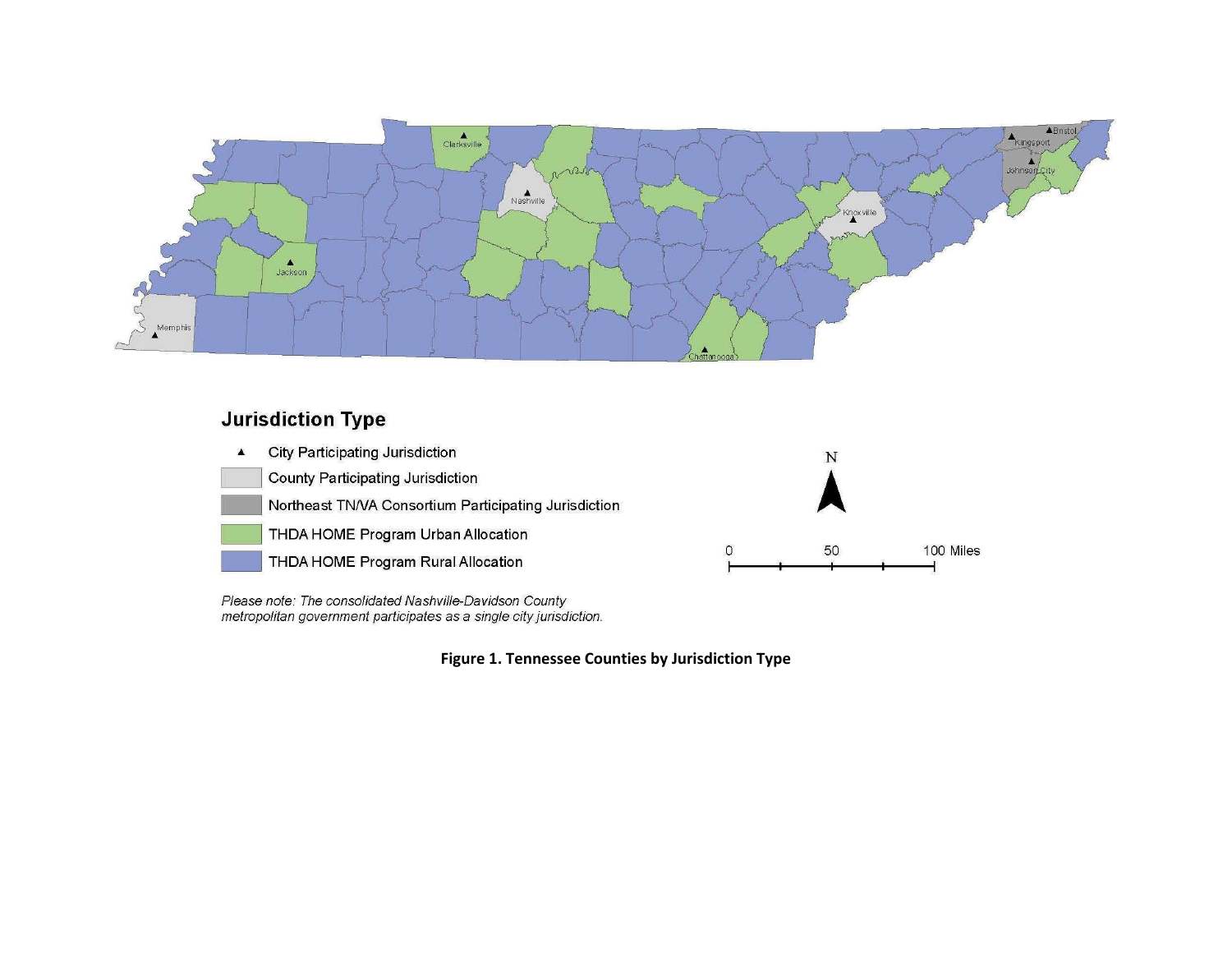

# **Jurisdiction Type**



Please note: The consolidated Nashville-Davidson County metropolitan government participates as a single city jurisdiction.

**Figure 1. Tennessee Counties by Jurisdiction Type**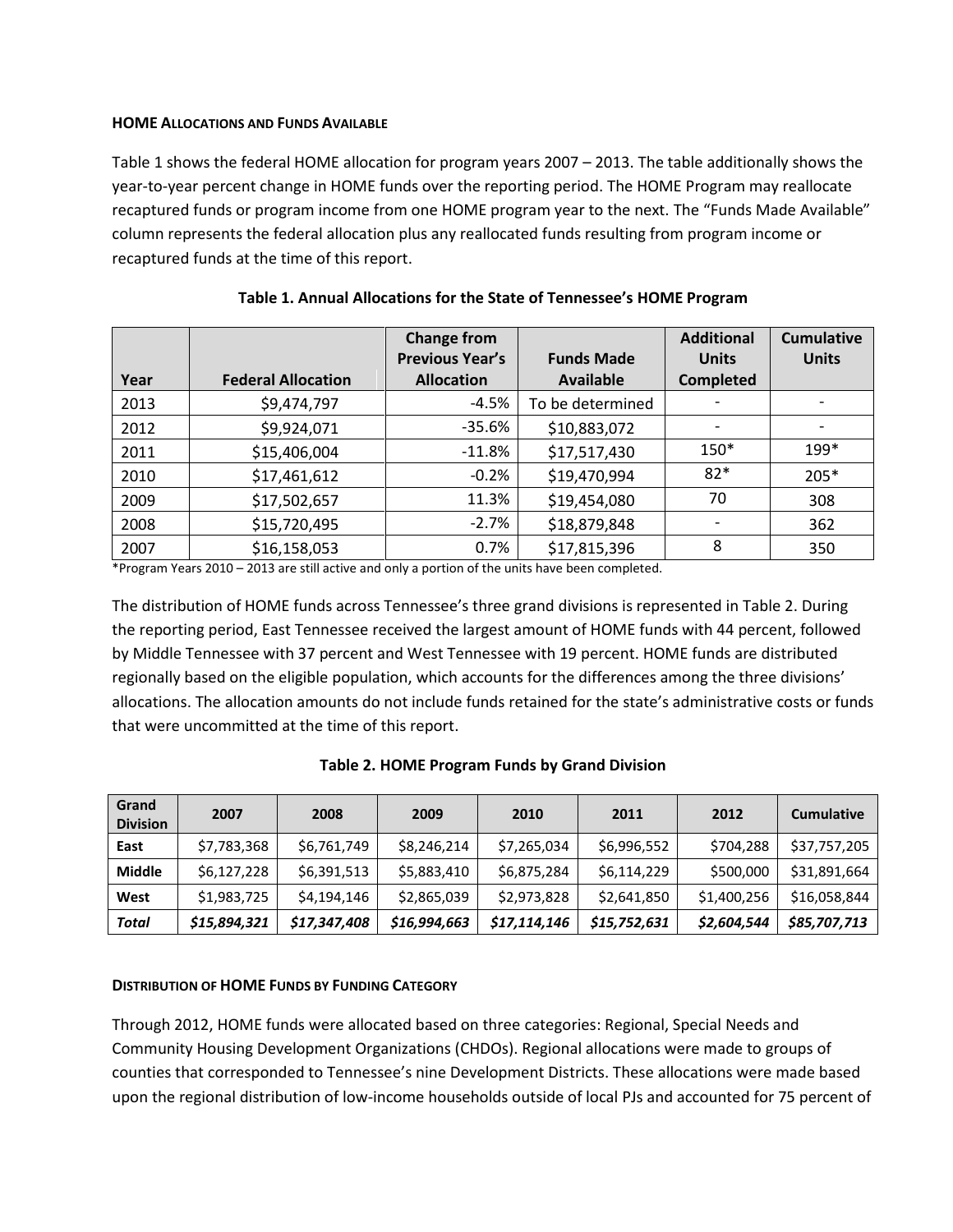#### **HOME ALLOCATIONS AND FUNDS AVAILABLE**

Table 1 shows the federal HOME allocation for program years 2007 – 2013. The table additionally shows the year-to-year percent change in HOME funds over the reporting period. The HOME Program may reallocate recaptured funds or program income from one HOME program year to the next. The "Funds Made Available" column represents the federal allocation plus any reallocated funds resulting from program income or recaptured funds at the time of this report.

| Year | <b>Federal Allocation</b> | <b>Change from</b><br><b>Previous Year's</b><br><b>Allocation</b> | <b>Funds Made</b><br><b>Available</b> | <b>Additional</b><br><b>Units</b><br><b>Completed</b> | <b>Cumulative</b><br><b>Units</b> |
|------|---------------------------|-------------------------------------------------------------------|---------------------------------------|-------------------------------------------------------|-----------------------------------|
| 2013 | \$9,474,797               | $-4.5%$                                                           | To be determined                      |                                                       |                                   |
| 2012 | \$9,924,071               | $-35.6%$                                                          | \$10,883,072                          |                                                       |                                   |
| 2011 | \$15,406,004              | $-11.8%$                                                          | \$17,517,430                          | $150*$                                                | 199*                              |
| 2010 | \$17,461,612              | $-0.2%$                                                           | \$19,470,994                          | $82*$                                                 | 205*                              |
| 2009 | \$17,502,657              | 11.3%                                                             | \$19,454,080                          | 70                                                    | 308                               |
| 2008 | \$15,720,495              | $-2.7%$                                                           | \$18,879,848                          |                                                       | 362                               |
| 2007 | \$16,158,053              | 0.7%                                                              | \$17,815,396                          | 8                                                     | 350                               |

| Table 1. Annual Allocations for the State of Tennessee's HOME Program |  |
|-----------------------------------------------------------------------|--|
|-----------------------------------------------------------------------|--|

\*Program Years 2010 – 2013 are still active and only a portion of the units have been completed.

The distribution of HOME funds across Tennessee's three grand divisions is represented in Table 2. During the reporting period, East Tennessee received the largest amount of HOME funds with 44 percent, followed by Middle Tennessee with 37 percent and West Tennessee with 19 percent. HOME funds are distributed regionally based on the eligible population, which accounts for the differences among the three divisions' allocations. The allocation amounts do not include funds retained for the state's administrative costs or funds that were uncommitted at the time of this report.

|  | Table 2. HOME Program Funds by Grand Division |
|--|-----------------------------------------------|
|--|-----------------------------------------------|

| Grand<br><b>Division</b> | 2007         | 2008         | 2009         | 2010         | 2011         | 2012        | <b>Cumulative</b> |
|--------------------------|--------------|--------------|--------------|--------------|--------------|-------------|-------------------|
| East                     | \$7,783,368  | \$6,761,749  | \$8,246,214  | \$7,265,034  | \$6,996,552  | \$704,288   | \$37,757,205      |
| <b>Middle</b>            | \$6,127,228  | \$6,391,513  | \$5,883,410  | \$6,875,284  | \$6,114,229  | \$500,000   | \$31,891,664      |
| West                     | \$1,983,725  | \$4,194,146  | \$2,865,039  | \$2,973,828  | \$2,641,850  | \$1,400,256 | \$16,058,844      |
| <b>Total</b>             | \$15,894,321 | \$17,347,408 | \$16,994,663 | \$17,114,146 | \$15,752,631 | \$2,604,544 | \$85,707,713      |

#### **DISTRIBUTION OF HOME FUNDS BY FUNDING CATEGORY**

Through 2012, HOME funds were allocated based on three categories: Regional, Special Needs and Community Housing Development Organizations (CHDOs). Regional allocations were made to groups of counties that corresponded to Tennessee's nine Development Districts. These allocations were made based upon the regional distribution of low-income households outside of local PJs and accounted for 75 percent of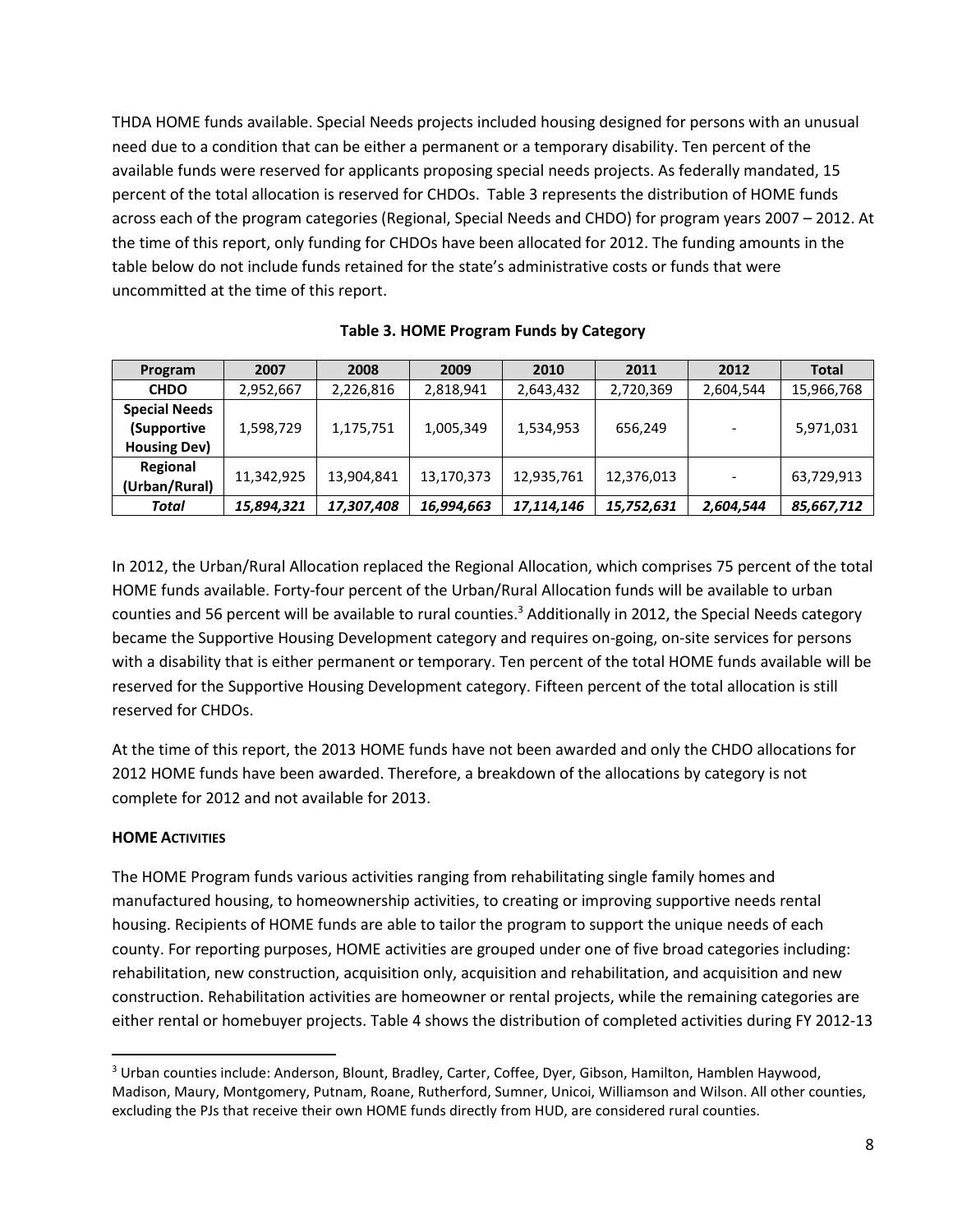THDA HOME funds available. Special Needs projects included housing designed for persons with an unusual need due to a condition that can be either a permanent or a temporary disability. Ten percent of the available funds were reserved for applicants proposing special needs projects. As federally mandated, 15 percent of the total allocation is reserved for CHDOs. Table 3 represents the distribution of HOME funds across each of the program categories (Regional, Special Needs and CHDO) for program years 2007 – 2012. At the time of this report, only funding for CHDOs have been allocated for 2012. The funding amounts in the table below do not include funds retained for the state's administrative costs or funds that were uncommitted at the time of this report.

| Program              | 2007       | 2008       | 2009       | 2010       | 2011       | 2012      | <b>Total</b> |
|----------------------|------------|------------|------------|------------|------------|-----------|--------------|
| <b>CHDO</b>          | 2,952,667  | 2,226,816  | 2,818,941  | 2,643,432  | 2,720,369  | 2,604,544 | 15,966,768   |
| <b>Special Needs</b> |            |            |            |            |            |           |              |
| (Supportive          | 1,598,729  | 1,175,751  | 1,005,349  | 1,534,953  | 656,249    |           | 5,971,031    |
| <b>Housing Dev)</b>  |            |            |            |            |            |           |              |
| Regional             |            |            |            |            |            |           |              |
| (Urban/Rural)        | 11,342,925 | 13,904,841 | 13,170,373 | 12,935,761 | 12,376,013 |           | 63,729,913   |
| Total                | 15,894,321 | 17,307,408 | 16,994,663 | 17,114,146 | 15,752,631 | 2,604,544 | 85,667,712   |

**Table 3. HOME Program Funds by Category**

In 2012, the Urban/Rural Allocation replaced the Regional Allocation, which comprises 75 percent of the total HOME funds available. Forty-four percent of the Urban/Rural Allocation funds will be available to urban counties and 56 percent will be available to rural counties.<sup>3</sup> Additionally in 2012, the Special Needs category became the Supportive Housing Development category and requires on-going, on-site services for persons with a disability that is either permanent or temporary. Ten percent of the total HOME funds available will be reserved for the Supportive Housing Development category. Fifteen percent of the total allocation is still reserved for CHDOs.

At the time of this report, the 2013 HOME funds have not been awarded and only the CHDO allocations for 2012 HOME funds have been awarded. Therefore, a breakdown of the allocations by category is not complete for 2012 and not available for 2013.

#### **HOME ACTIVITIES**

 $\overline{\phantom{a}}$ 

The HOME Program funds various activities ranging from rehabilitating single family homes and manufactured housing, to homeownership activities, to creating or improving supportive needs rental housing. Recipients of HOME funds are able to tailor the program to support the unique needs of each county. For reporting purposes, HOME activities are grouped under one of five broad categories including: rehabilitation, new construction, acquisition only, acquisition and rehabilitation, and acquisition and new construction. Rehabilitation activities are homeowner or rental projects, while the remaining categories are either rental or homebuyer projects. Table 4 shows the distribution of completed activities during FY 2012-13

<sup>&</sup>lt;sup>3</sup> Urban counties include: Anderson, Blount, Bradley, Carter, Coffee, Dyer, Gibson, Hamilton, Hamblen Haywood, Madison, Maury, Montgomery, Putnam, Roane, Rutherford, Sumner, Unicoi, Williamson and Wilson. All other counties, excluding the PJs that receive their own HOME funds directly from HUD, are considered rural counties.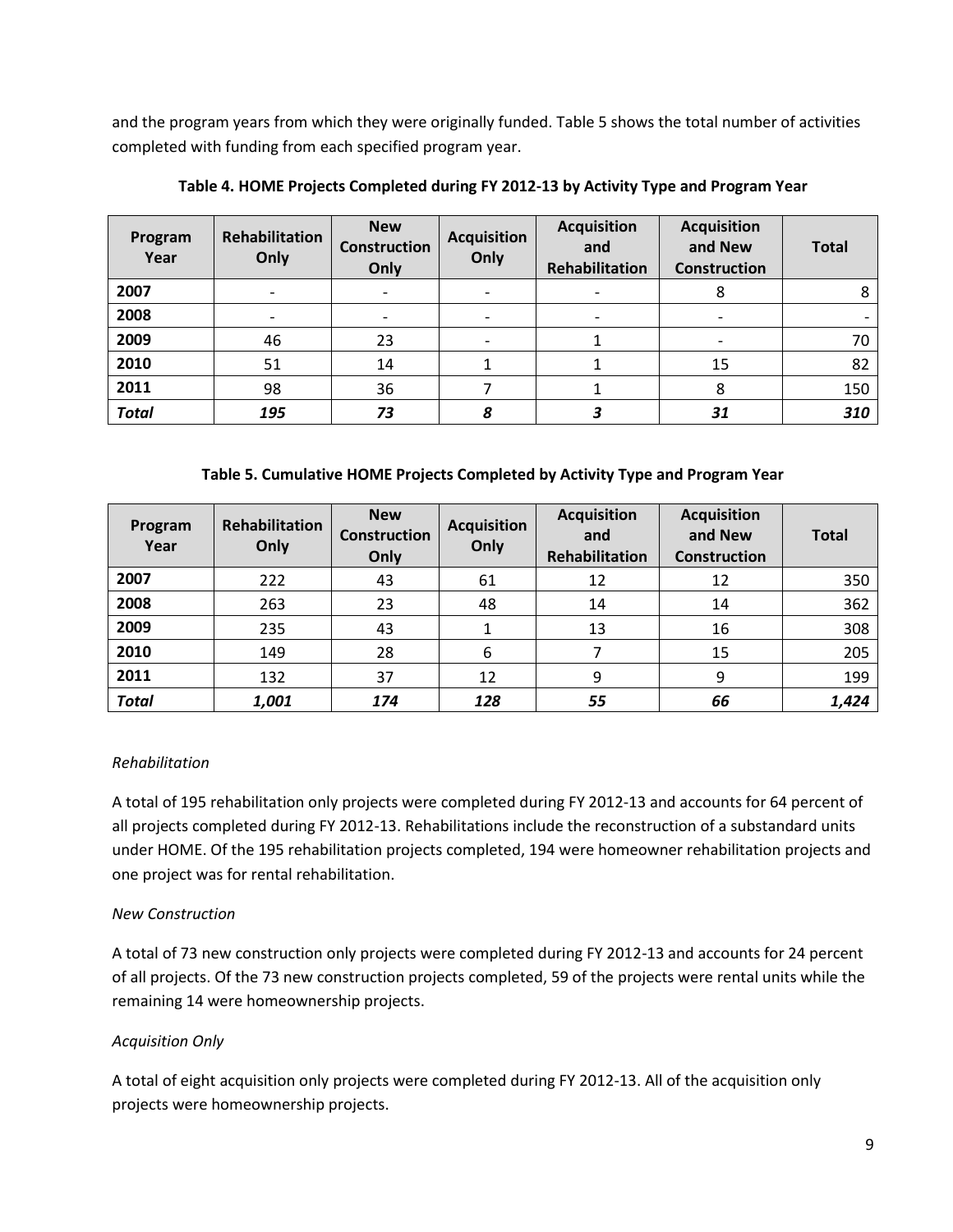and the program years from which they were originally funded. Table 5 shows the total number of activities completed with funding from each specified program year.

| Program<br>Year | <b>Rehabilitation</b><br>Only | <b>New</b><br><b>Construction</b><br>Only | <b>Acquisition</b><br>Only | <b>Acquisition</b><br>and<br>Rehabilitation | <b>Acquisition</b><br>and New<br><b>Construction</b> | <b>Total</b> |
|-----------------|-------------------------------|-------------------------------------------|----------------------------|---------------------------------------------|------------------------------------------------------|--------------|
| 2007            |                               |                                           |                            |                                             |                                                      | 8            |
| 2008            |                               | $\overline{\phantom{0}}$                  | $\overline{\phantom{0}}$   | $\overline{\phantom{a}}$                    | $\overline{\phantom{a}}$                             |              |
| 2009            | 46                            | 23                                        |                            |                                             |                                                      | 70           |
| 2010            | 51                            | 14                                        | 1                          |                                             | 15                                                   | 82           |
| 2011            | 98                            | 36                                        |                            |                                             | 8                                                    | 150          |
| <b>Total</b>    | 195                           | 73                                        | 8                          |                                             | 31                                                   | 310          |

**Table 4. HOME Projects Completed during FY 2012-13 by Activity Type and Program Year**

#### **Table 5. Cumulative HOME Projects Completed by Activity Type and Program Year**

| Program<br>Year | <b>Rehabilitation</b><br>Only | <b>New</b><br><b>Construction</b><br>Only | <b>Acquisition</b><br>Only | <b>Acquisition</b><br>and<br><b>Rehabilitation</b> | <b>Acquisition</b><br>and New<br><b>Construction</b> | <b>Total</b> |
|-----------------|-------------------------------|-------------------------------------------|----------------------------|----------------------------------------------------|------------------------------------------------------|--------------|
| 2007            | 222                           | 43                                        | 61                         | 12                                                 | 12                                                   | 350          |
| 2008            | 263                           | 23                                        | 48                         | 14                                                 | 14                                                   | 362          |
| 2009            | 235                           | 43                                        |                            | 13                                                 | 16                                                   | 308          |
| 2010            | 149                           | 28                                        | 6                          |                                                    | 15                                                   | 205          |
| 2011            | 132                           | 37                                        | 12                         | 9                                                  | 9                                                    | 199          |
| <b>Total</b>    | 1,001                         | 174                                       | 128                        | 55                                                 | 66                                                   | 1,424        |

#### *Rehabilitation*

A total of 195 rehabilitation only projects were completed during FY 2012-13 and accounts for 64 percent of all projects completed during FY 2012-13. Rehabilitations include the reconstruction of a substandard units under HOME. Of the 195 rehabilitation projects completed, 194 were homeowner rehabilitation projects and one project was for rental rehabilitation.

#### *New Construction*

A total of 73 new construction only projects were completed during FY 2012-13 and accounts for 24 percent of all projects. Of the 73 new construction projects completed, 59 of the projects were rental units while the remaining 14 were homeownership projects.

# *Acquisition Only*

A total of eight acquisition only projects were completed during FY 2012-13. All of the acquisition only projects were homeownership projects.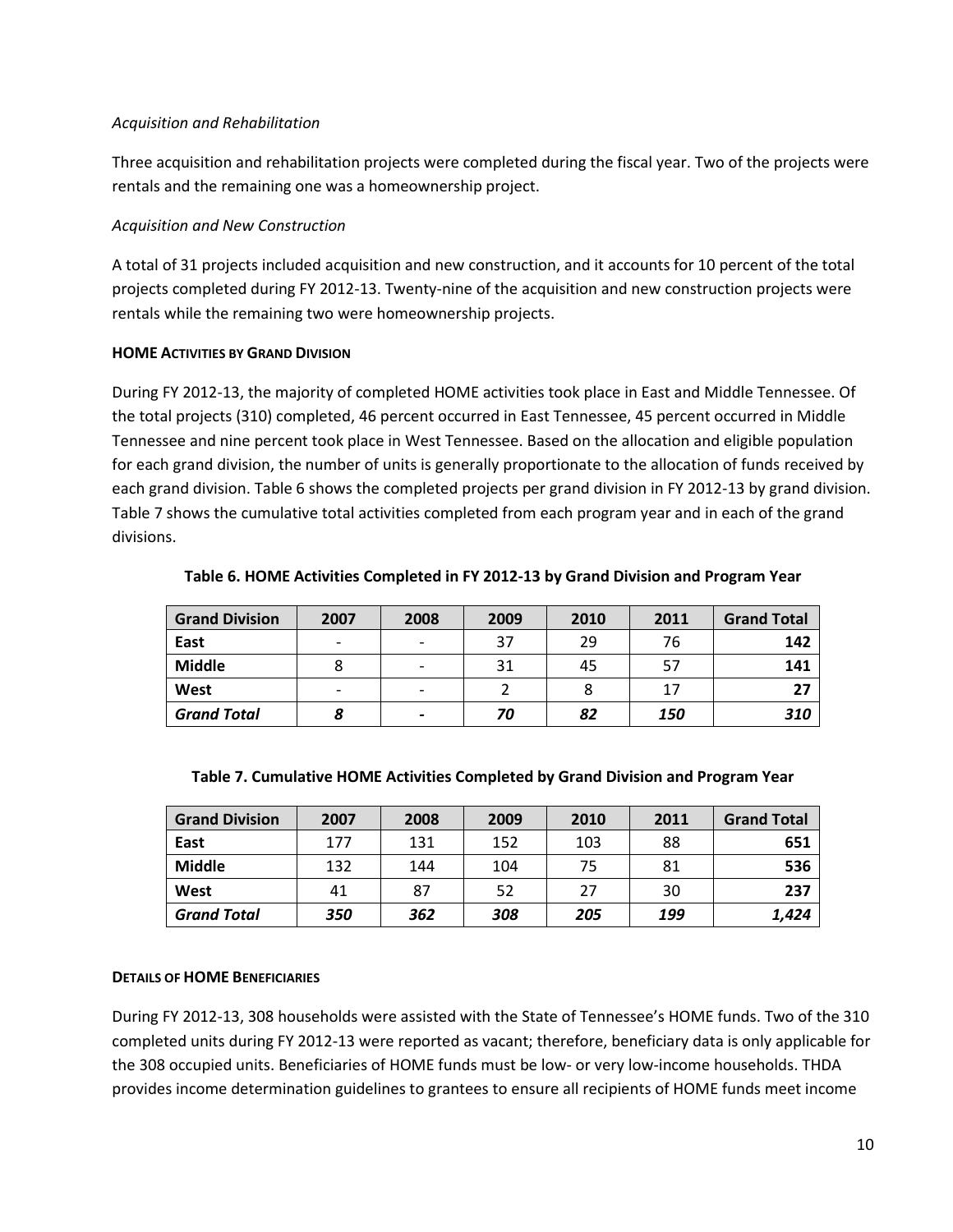#### *Acquisition and Rehabilitation*

Three acquisition and rehabilitation projects were completed during the fiscal year. Two of the projects were rentals and the remaining one was a homeownership project.

#### *Acquisition and New Construction*

A total of 31 projects included acquisition and new construction, and it accounts for 10 percent of the total projects completed during FY 2012-13. Twenty-nine of the acquisition and new construction projects were rentals while the remaining two were homeownership projects.

#### **HOME ACTIVITIES BY GRAND DIVISION**

During FY 2012-13, the majority of completed HOME activities took place in East and Middle Tennessee. Of the total projects (310) completed, 46 percent occurred in East Tennessee, 45 percent occurred in Middle Tennessee and nine percent took place in West Tennessee. Based on the allocation and eligible population for each grand division, the number of units is generally proportionate to the allocation of funds received by each grand division. Table 6 shows the completed projects per grand division in FY 2012-13 by grand division. Table 7 shows the cumulative total activities completed from each program year and in each of the grand divisions.

| <b>Grand Division</b> | 2007                     | 2008 | 2009 | 2010 | 2011 | <b>Grand Total</b> |
|-----------------------|--------------------------|------|------|------|------|--------------------|
| East                  |                          |      | 37   | 29   | 76   | 142                |
| <b>Middle</b>         |                          |      | 31   | 45   | -57  | 141                |
| West                  | $\overline{\phantom{0}}$ |      |      |      | 17   | 27                 |
| <b>Grand Total</b>    |                          |      | 70   | 82   | 150  | 310                |

**Table 6. HOME Activities Completed in FY 2012-13 by Grand Division and Program Year**

| <b>Grand Division</b> | 2007 | 2008 | 2009 | 2010 | 2011 | <b>Grand Total</b> |
|-----------------------|------|------|------|------|------|--------------------|
| East                  | 177  | 131  | 152  | 103  | 88   | 651                |
| <b>Middle</b>         | 132  | 144  | 104  | 75   | 81   | 536                |
| West                  | 41   | 87   | 52   | 27   | 30   | 237                |
| <b>Grand Total</b>    | 350  | 362  | 308  | 205  | 199  | 1,424              |

#### **Table 7. Cumulative HOME Activities Completed by Grand Division and Program Year**

#### **DETAILS OF HOME BENEFICIARIES**

During FY 2012-13, 308 households were assisted with the State of Tennessee's HOME funds. Two of the 310 completed units during FY 2012-13 were reported as vacant; therefore, beneficiary data is only applicable for the 308 occupied units. Beneficiaries of HOME funds must be low- or very low-income households. THDA provides income determination guidelines to grantees to ensure all recipients of HOME funds meet income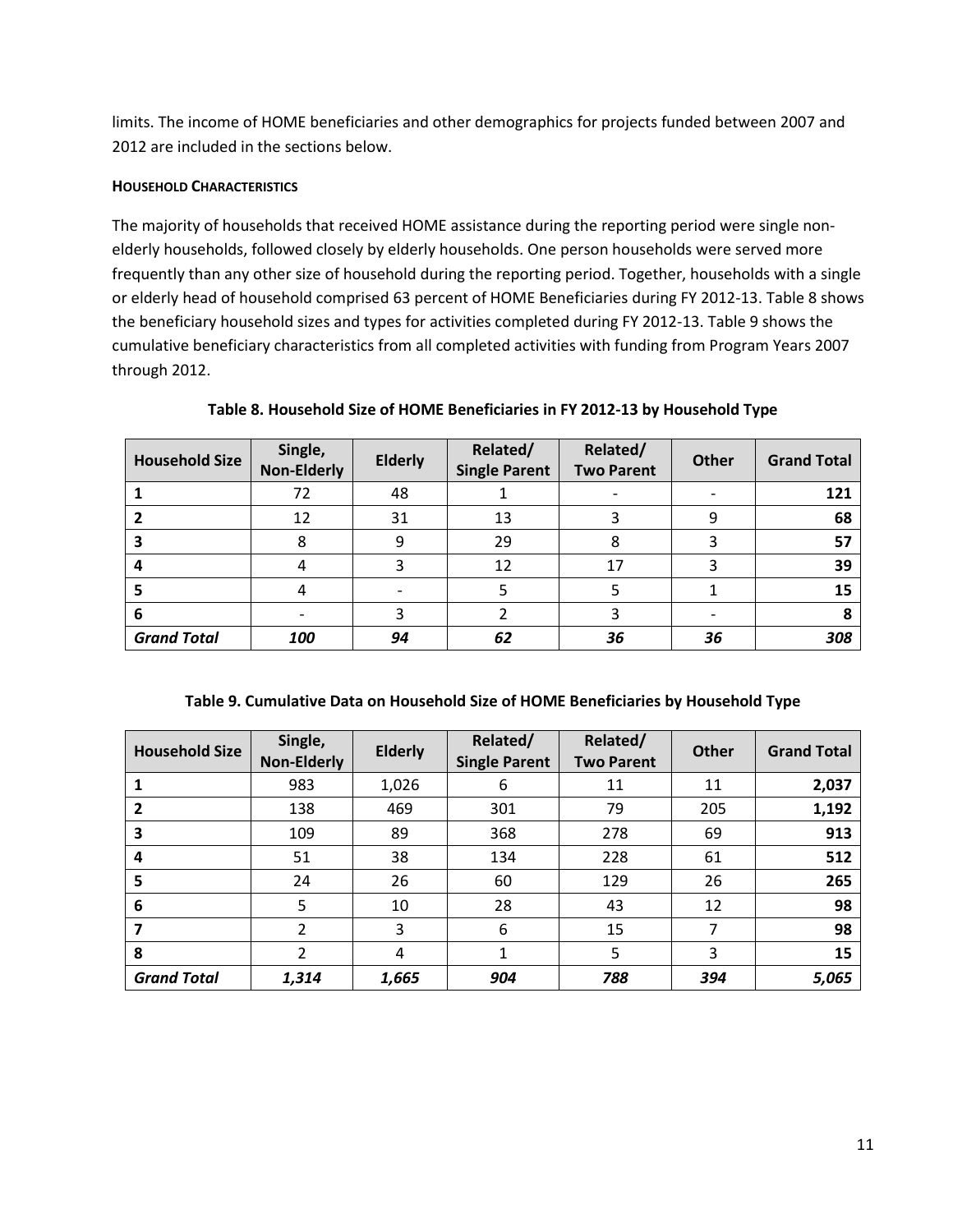limits. The income of HOME beneficiaries and other demographics for projects funded between 2007 and 2012 are included in the sections below.

#### **HOUSEHOLD CHARACTERISTICS**

The majority of households that received HOME assistance during the reporting period were single nonelderly households, followed closely by elderly households. One person households were served more frequently than any other size of household during the reporting period. Together, households with a single or elderly head of household comprised 63 percent of HOME Beneficiaries during FY 2012-13. Table 8 shows the beneficiary household sizes and types for activities completed during FY 2012-13. Table 9 shows the cumulative beneficiary characteristics from all completed activities with funding from Program Years 2007 through 2012.

| <b>Household Size</b> | Single,<br><b>Non-Elderly</b> | <b>Elderly</b> | Related/<br><b>Single Parent</b> | Related/<br><b>Two Parent</b> | Other | <b>Grand Total</b> |
|-----------------------|-------------------------------|----------------|----------------------------------|-------------------------------|-------|--------------------|
|                       | 72                            | 48             |                                  |                               |       | 121                |
|                       | 12                            | 31             | 13                               |                               | 9     | 68                 |
|                       |                               | 9              | 29                               | 8                             |       | 57                 |
|                       |                               |                | 12                               | 17                            |       | 39                 |
|                       |                               |                |                                  |                               |       | 15                 |
| 6                     |                               |                |                                  |                               |       | 8                  |
| <b>Grand Total</b>    | 100                           | 94             | 62                               | 36                            | 36    | 308                |

**Table 8. Household Size of HOME Beneficiaries in FY 2012-13 by Household Type**

#### **Table 9. Cumulative Data on Household Size of HOME Beneficiaries by Household Type**

| <b>Household Size</b> | Single,<br><b>Non-Elderly</b> | <b>Elderly</b> | Related/<br><b>Single Parent</b> | Related/<br><b>Two Parent</b> | <b>Other</b> | <b>Grand Total</b> |
|-----------------------|-------------------------------|----------------|----------------------------------|-------------------------------|--------------|--------------------|
|                       | 983                           | 1,026          | 6                                | 11                            | 11           | 2,037              |
| 2                     | 138                           | 469            | 301                              | 79                            | 205          | 1,192              |
| 3                     | 109                           | 89             | 368                              | 278                           | 69           | 913                |
| 4                     | 51                            | 38             | 134                              | 228                           | 61           | 512                |
| 5                     | 24                            | 26             | 60                               | 129                           | 26           | 265                |
| 6                     | 5                             | 10             | 28                               | 43                            | 12           | 98                 |
|                       | $\overline{2}$                | 3              | 6                                | 15                            |              | 98                 |
| 8                     | 2                             | 4              | 1                                | 5                             | 3            | 15                 |
| <b>Grand Total</b>    | 1,314                         | 1,665          | 904                              | 788                           | 394          | 5,065              |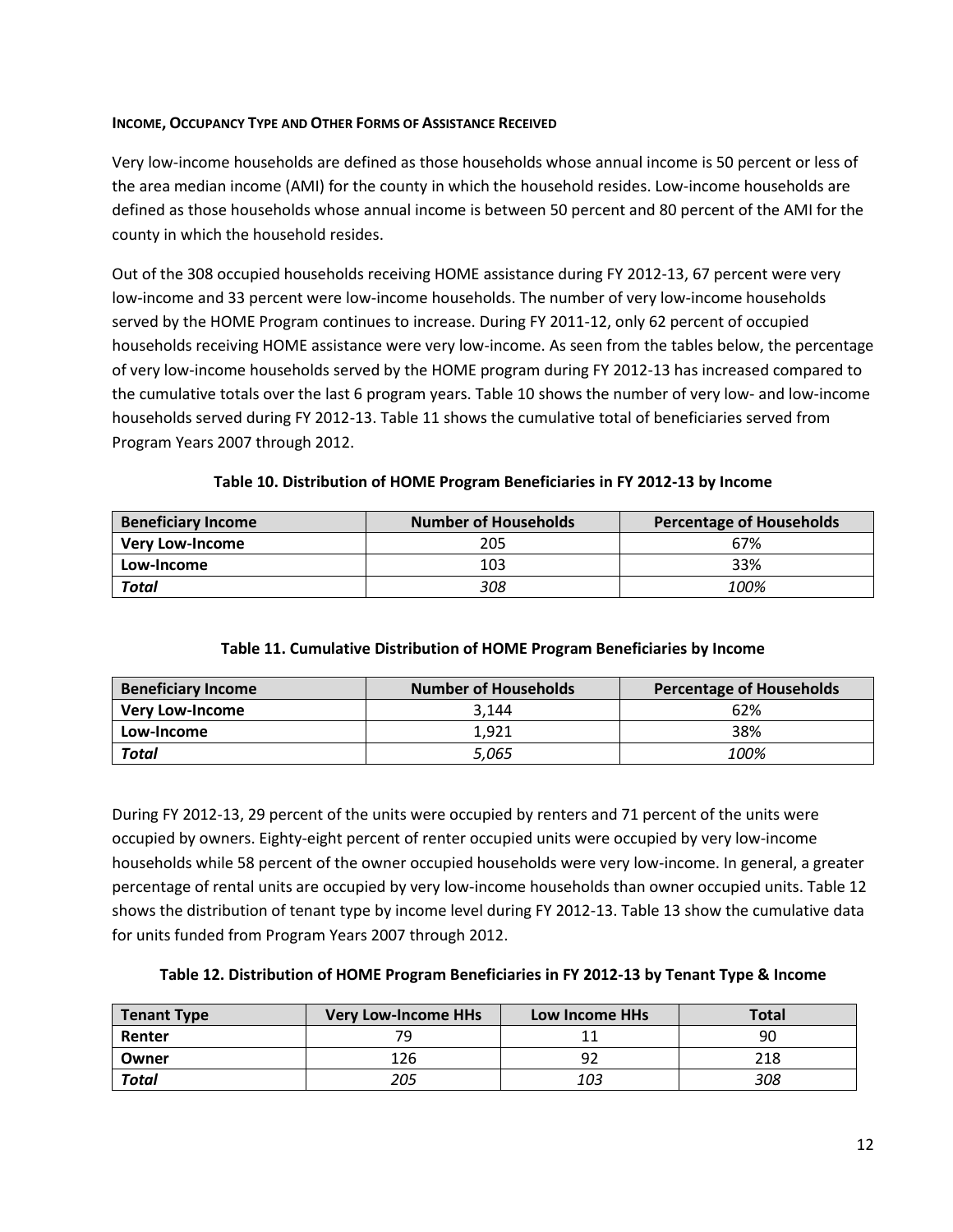#### **INCOME, OCCUPANCY TYPE AND OTHER FORMS OF ASSISTANCE RECEIVED**

Very low-income households are defined as those households whose annual income is 50 percent or less of the area median income (AMI) for the county in which the household resides. Low-income households are defined as those households whose annual income is between 50 percent and 80 percent of the AMI for the county in which the household resides.

Out of the 308 occupied households receiving HOME assistance during FY 2012-13, 67 percent were very low-income and 33 percent were low-income households. The number of very low-income households served by the HOME Program continues to increase. During FY 2011-12, only 62 percent of occupied households receiving HOME assistance were very low-income. As seen from the tables below, the percentage of very low-income households served by the HOME program during FY 2012-13 has increased compared to the cumulative totals over the last 6 program years. Table 10 shows the number of very low- and low-income households served during FY 2012-13. Table 11 shows the cumulative total of beneficiaries served from Program Years 2007 through 2012.

| Table 10. Distribution of HOME Program Beneficiaries in FY 2012-13 by Income |  |
|------------------------------------------------------------------------------|--|
|------------------------------------------------------------------------------|--|

| <b>Beneficiary Income</b> | <b>Number of Households</b> | <b>Percentage of Households</b> |  |
|---------------------------|-----------------------------|---------------------------------|--|
| <b>Very Low-Income</b>    | 205                         | 67%                             |  |
| Low-Income                | 103                         | 33%                             |  |
| <b>Total</b>              | 308                         | 100%                            |  |

#### **Table 11. Cumulative Distribution of HOME Program Beneficiaries by Income**

| <b>Beneficiary Income</b> | <b>Number of Households</b> | Percentage of Households |
|---------------------------|-----------------------------|--------------------------|
| <b>Very Low-Income</b>    | 3.144                       | 62%                      |
| Low-Income                | 1,921                       | 38%                      |
| <b>Total</b>              | 5.065                       | 100%                     |

During FY 2012-13, 29 percent of the units were occupied by renters and 71 percent of the units were occupied by owners. Eighty-eight percent of renter occupied units were occupied by very low-income households while 58 percent of the owner occupied households were very low-income. In general, a greater percentage of rental units are occupied by very low-income households than owner occupied units. Table 12 shows the distribution of tenant type by income level during FY 2012-13. Table 13 show the cumulative data for units funded from Program Years 2007 through 2012.

| Table 12. Distribution of HOME Program Beneficiaries in FY 2012-13 by Tenant Type & Income |  |
|--------------------------------------------------------------------------------------------|--|
|--------------------------------------------------------------------------------------------|--|

| <b>Tenant Type</b> | <b>Very Low-Income HHs</b> | <b>Low Income HHs</b> | <b>Total</b> |
|--------------------|----------------------------|-----------------------|--------------|
| Renter             | 70.                        |                       | 90           |
| Owner              | 126                        |                       | 218          |
| <b>Total</b>       | 205                        | 103                   | 308          |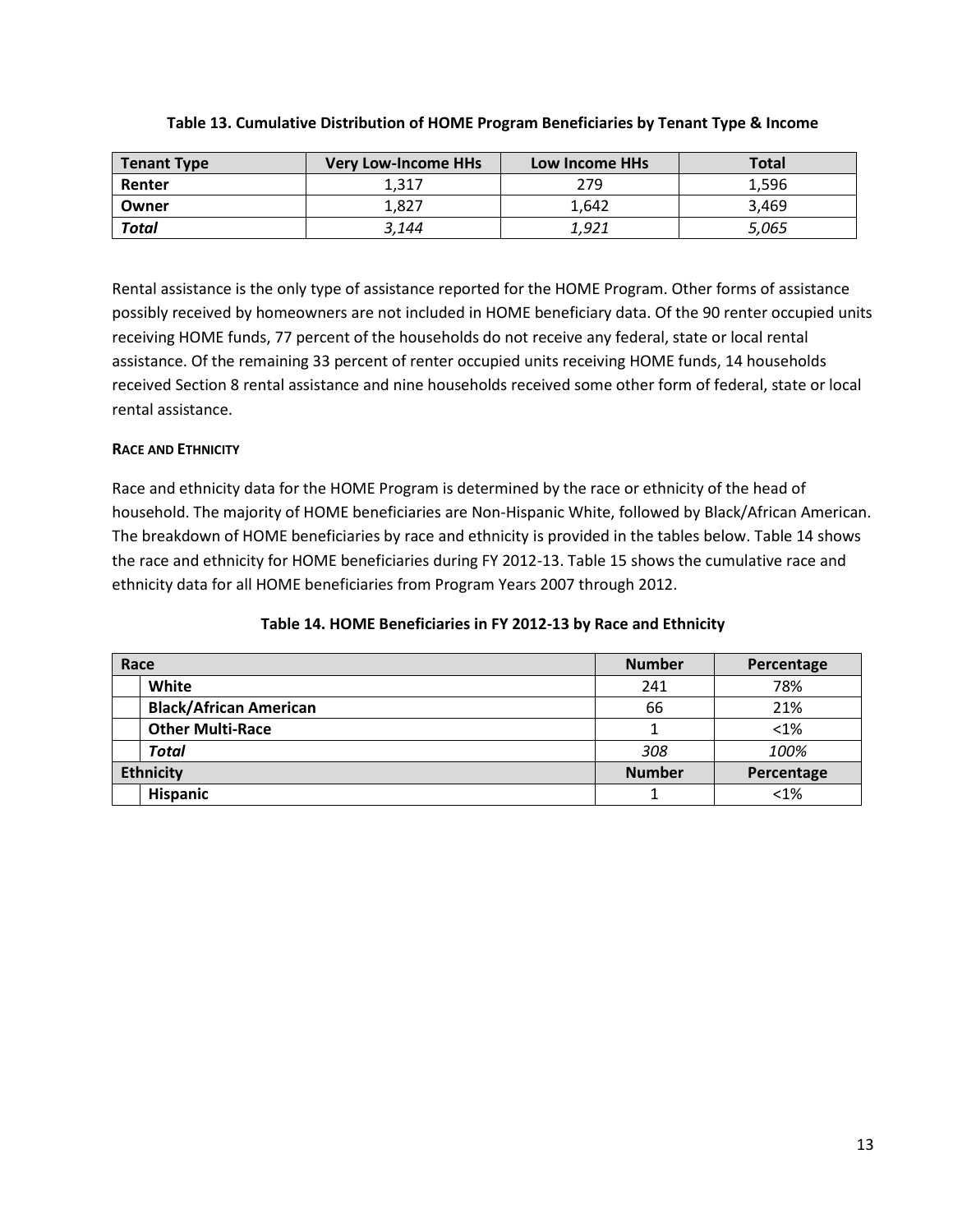| Tenant Type  | <b>Very Low-Income HHs</b> | <b>Low Income HHs</b> | <b>Total</b> |
|--------------|----------------------------|-----------------------|--------------|
| Renter       | 1.317                      | 279                   | 1,596        |
| Owner        | 1.827                      | 1.642                 | 3.469        |
| <b>Total</b> | 3,144                      | 1,921                 | 5,065        |

#### **Table 13. Cumulative Distribution of HOME Program Beneficiaries by Tenant Type & Income**

Rental assistance is the only type of assistance reported for the HOME Program. Other forms of assistance possibly received by homeowners are not included in HOME beneficiary data. Of the 90 renter occupied units receiving HOME funds, 77 percent of the households do not receive any federal, state or local rental assistance. Of the remaining 33 percent of renter occupied units receiving HOME funds, 14 households received Section 8 rental assistance and nine households received some other form of federal, state or local rental assistance.

# **RACE AND ETHNICITY**

Race and ethnicity data for the HOME Program is determined by the race or ethnicity of the head of household. The majority of HOME beneficiaries are Non-Hispanic White, followed by Black/African American. The breakdown of HOME beneficiaries by race and ethnicity is provided in the tables below. Table 14 shows the race and ethnicity for HOME beneficiaries during FY 2012-13. Table 15 shows the cumulative race and ethnicity data for all HOME beneficiaries from Program Years 2007 through 2012.

# **Race Number Percentage**

|  | Table 14. HOME Beneficiaries in FY 2012-13 by Race and Ethnicity |  |  |  |
|--|------------------------------------------------------------------|--|--|--|
|  |                                                                  |  |  |  |

| White                         | 241           | 78%        |
|-------------------------------|---------------|------------|
| <b>Black/African American</b> | 66            | 21%        |
| <b>Other Multi-Race</b>       |               | < 1%       |
| <b>Total</b>                  | 308           | 100%       |
| <b>Ethnicity</b>              | <b>Number</b> | Percentage |
| <b>Hispanic</b>               |               | < 1%       |